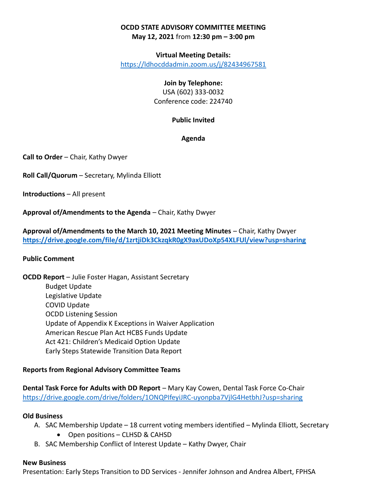# OCDD STATE ADVISORY COMMITTEE MEETING May 12, 2021 from 12:30 pm – 3:00 pm

#### Virtual Meeting Details:

https://ldhocddadmin.zoom.us/j/82434967581

## Join by Telephone:

USA (602) 333-0032 Conference code: 224740

### Public Invited

#### Agenda

Call to Order – Chair, Kathy Dwyer

Roll Call/Quorum – Secretary, Mylinda Elliott

Introductions – All present

Approval of/Amendments to the Agenda – Chair, Kathy Dwyer

Approval of/Amendments to the March 10, 2021 Meeting Minutes – Chair, Kathy Dwyer https://drive.google.com/file/d/1zrtjiDk3CkzqkR0gX9axUDoXp54XLFUl/view?usp=sharing

#### Public Comment

OCDD Report – Julie Foster Hagan, Assistant Secretary Budget Update Legislative Update COVID Update OCDD Listening Session Update of Appendix K Exceptions in Waiver Application American Rescue Plan Act HCBS Funds Update Act 421: Children's Medicaid Option Update Early Steps Statewide Transition Data Report

## Reports from Regional Advisory Committee Teams

Dental Task Force for Adults with DD Report – Mary Kay Cowen, Dental Task Force Co-Chair https://drive.google.com/drive/folders/1ONQPIfeyiJRC-uyonpba7VjlG4HetbhJ?usp=sharing

#### Old Business

- A. SAC Membership Update 18 current voting members identified Mylinda Elliott, Secretary
	- Open positions CLHSD & CAHSD
- B. SAC Membership Conflict of Interest Update Kathy Dwyer, Chair

#### New Business

Presentation: Early Steps Transition to DD Services - Jennifer Johnson and Andrea Albert, FPHSA